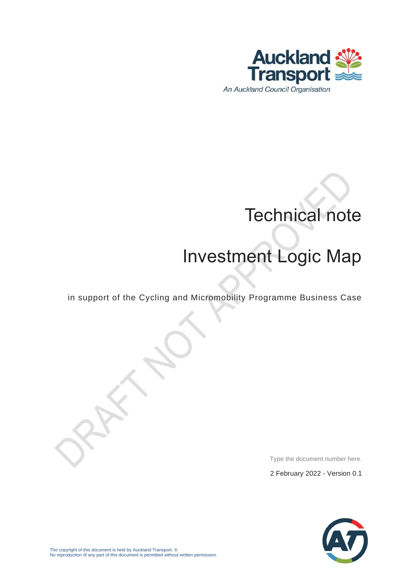

# Technical note

# Investment Logic Map

in support of the Cycling and Micromobility Programme Business Case

Type the document number here.

2 February 2022 - Version 0.1

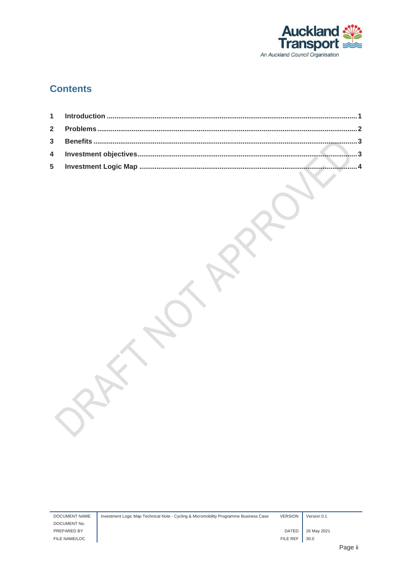

#### **Contents**

| DOCUMENT NAME | Investment Logic Map Technical Note - Cycling & Micromobility Programme Business Case | <b>VERSION</b> | Version 0.1 |                    |
|---------------|---------------------------------------------------------------------------------------|----------------|-------------|--------------------|
| DOCUMENT No.  |                                                                                       |                |             |                    |
| PREPARED BY   |                                                                                       | <b>DATED</b>   | 26 May 2021 |                    |
| FILE NAME/LOC |                                                                                       | FILE REF       | 30.0        |                    |
|               |                                                                                       |                |             | $D \cap \cap \cap$ |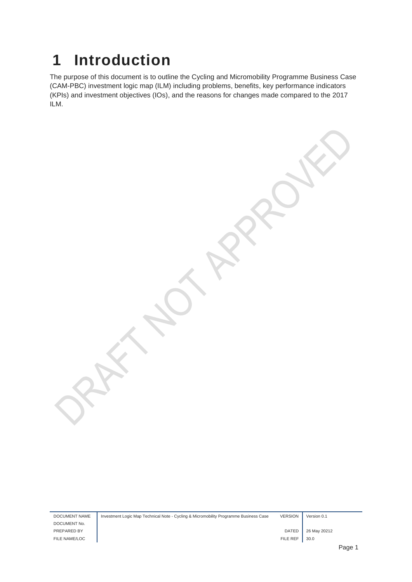### <span id="page-2-0"></span>**1 Introduction**

The purpose of this document is to outline the Cycling and Micromobility Programme Business Case (CAM-PBC) investment logic map (ILM) including problems, benefits, key performance indicators (KPIs) and investment objectives (IOs), and the reasons for changes made compared to the 2017 ILM.

| <b>DOCUMENT NAME</b> | Investment Logic Map Technical Note - Cycling & Micromobility Programme Business Case | <b>VERSION</b> | Version 0.1  |      |
|----------------------|---------------------------------------------------------------------------------------|----------------|--------------|------|
| DOCUMENT No.         |                                                                                       |                |              |      |
| PREPARED BY          |                                                                                       | <b>DATED</b>   | 26 May 20212 |      |
| FILE NAME/LOC        |                                                                                       | FILE REF       | 30.0         |      |
|                      |                                                                                       |                |              | Dono |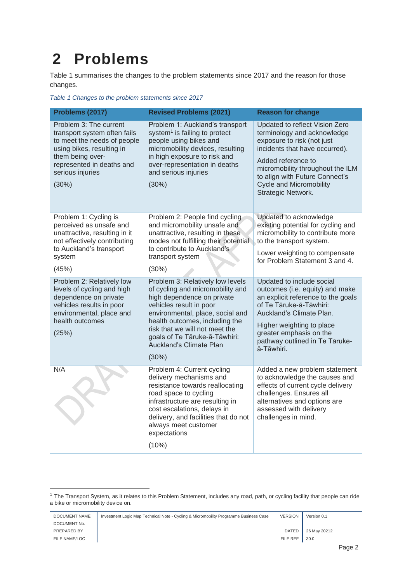## <span id="page-3-0"></span>**2 Problems**

[Table 1](#page-3-1) summarises the changes to the problem statements since 2017 and the reason for those changes.

<span id="page-3-1"></span>*Table 1 Changes to the problem statements since 2017*

| Problems (2017)                                                                                                                                                                                  | <b>Revised Problems (2021)</b>                                                                                                                                                                                                                                                                             | <b>Reason for change</b>                                                                                                                                                                                                                                                          |
|--------------------------------------------------------------------------------------------------------------------------------------------------------------------------------------------------|------------------------------------------------------------------------------------------------------------------------------------------------------------------------------------------------------------------------------------------------------------------------------------------------------------|-----------------------------------------------------------------------------------------------------------------------------------------------------------------------------------------------------------------------------------------------------------------------------------|
| Problem 3: The current<br>transport system often fails<br>to meet the needs of people<br>using bikes, resulting in<br>them being over-<br>represented in deaths and<br>serious injuries<br>(30%) | Problem 1: Auckland's transport<br>system <sup>1</sup> is failing to protect<br>people using bikes and<br>micromobility devices, resulting<br>in high exposure to risk and<br>over-representation in deaths<br>and serious injuries<br>(30%)                                                               | Updated to reflect Vision Zero<br>terminology and acknowledge<br>exposure to risk (not just<br>incidents that have occurred).<br>Added reference to<br>micromobility throughout the ILM<br>to align with Future Connect's<br><b>Cycle and Micromobility</b><br>Strategic Network. |
| Problem 1: Cycling is<br>perceived as unsafe and<br>unattractive, resulting in it<br>not effectively contributing<br>to Auckland's transport<br>system<br>(45%)                                  | Problem 2: People find cycling<br>and micromobility unsafe and<br>unattractive, resulting in these<br>modes not fulfilling their potential<br>to contribute to Auckland's<br>transport system<br>(30%)                                                                                                     | Updated to acknowledge<br>existing potential for cycling and<br>micromobility to contribute more<br>to the transport system.<br>Lower weighting to compensate<br>for Problem Statement 3 and 4.                                                                                   |
| Problem 2: Relatively low<br>levels of cycling and high<br>dependence on private<br>vehicles results in poor<br>environmental, place and<br>health outcomes<br>(25%)                             | Problem 3: Relatively low levels<br>of cycling and micromobility and<br>high dependence on private<br>vehicles result in poor<br>environmental, place, social and<br>health outcomes, including the<br>risk that we will not meet the<br>goals of Te Tāruke-ā-Tāwhiri:<br>Auckland's Climate Plan<br>(30%) | Updated to include social<br>outcomes (i.e. equity) and make<br>an explicit reference to the goals<br>of Te Tāruke-ā-Tāwhiri:<br>Auckland's Climate Plan.<br>Higher weighting to place<br>greater emphasis on the<br>pathway outlined in Te Tāruke-<br>ā-Tāwhiri.                 |
| N/A                                                                                                                                                                                              | Problem 4: Current cycling<br>delivery mechanisms and<br>resistance towards reallocating<br>road space to cycling<br>infrastructure are resulting in<br>cost escalations, delays in<br>delivery, and facilities that do not<br>always meet customer<br>expectations<br>(10%)                               | Added a new problem statement<br>to acknowledge the causes and<br>effects of current cycle delivery<br>challenges. Ensures all<br>alternatives and options are<br>assessed with delivery<br>challenges in mind.                                                                   |

<sup>&</sup>lt;sup>1</sup> The Transport System, as it relates to this Problem Statement, includes any road, path, or cycling facility that people can ride a bike or micromobility device on.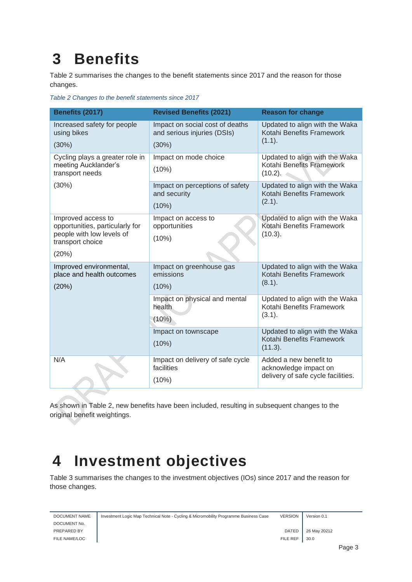## <span id="page-4-0"></span>**3 Benefits**

[Table 2](#page-4-2) summarises the changes to the benefit statements since 2017 and the reason for those changes.

<span id="page-4-2"></span>*Table 2 Changes to the benefit statements since 2017*

| Benefits (2017)                                                                                                 | <b>Revised Benefits (2021)</b>                                          | <b>Reason for change</b>                                                              |
|-----------------------------------------------------------------------------------------------------------------|-------------------------------------------------------------------------|---------------------------------------------------------------------------------------|
| Increased safety for people<br>using bikes<br>(30%)                                                             | Impact on social cost of deaths<br>and serious injuries (DSIs)<br>(30%) | Updated to align with the Waka<br>Kotahi Benefits Framework<br>(1.1).                 |
| Cycling plays a greater role in<br>meeting Aucklander's<br>transport needs                                      | Impact on mode choice<br>(10%)                                          | Updated to align with the Waka<br>Kotahi Benefits Framework<br>$(10.2)$ .             |
| (30%)                                                                                                           | Impact on perceptions of safety<br>and security<br>(10%)                | Updated to align with the Waka<br>Kotahi Benefits Framework<br>(2.1).                 |
| Improved access to<br>opportunities, particularly for<br>people with low levels of<br>transport choice<br>(20%) | Impact on access to<br>opportunities<br>(10%)                           | Updated to align with the Waka<br>Kotahi Benefits Framework<br>(10.3).                |
| Improved environmental,<br>place and health outcomes<br>(20%)                                                   | Impact on greenhouse gas<br>emissions<br>(10%)                          | Updated to align with the Waka<br>Kotahi Benefits Framework<br>(8.1).                 |
|                                                                                                                 | Impact on physical and mental<br>health<br>(10%)                        | Updated to align with the Waka<br>Kotahi Benefits Framework<br>(3.1).                 |
|                                                                                                                 | Impact on townscape<br>(10%)                                            | Updated to align with the Waka<br>Kotahi Benefits Framework<br>(11.3).                |
| N/A                                                                                                             | Impact on delivery of safe cycle<br>facilities<br>(10%)                 | Added a new benefit to<br>acknowledge impact on<br>delivery of safe cycle facilities. |

As shown in [Table 2,](#page-4-2) new benefits have been included, resulting in subsequent changes to the original benefit weightings.

#### <span id="page-4-1"></span>**4 Investment objectives**

[Table 3](#page-5-1) summarises the changes to the investment objectives (IOs) since 2017 and the reason for those changes.

| DOCUMENT NAME | Investment Logic Map Technical Note - Cycling & Micromobility Programme Business Case | <b>VERSION</b> | Version 0.1  |
|---------------|---------------------------------------------------------------------------------------|----------------|--------------|
| DOCUMENT No.  |                                                                                       |                |              |
| PREPARED BY   |                                                                                       | <b>DATED</b>   | 26 May 20212 |
| FILE NAME/LOC |                                                                                       | FILE REF       | 30.0         |
|               |                                                                                       |                | n <u>.</u> 0 |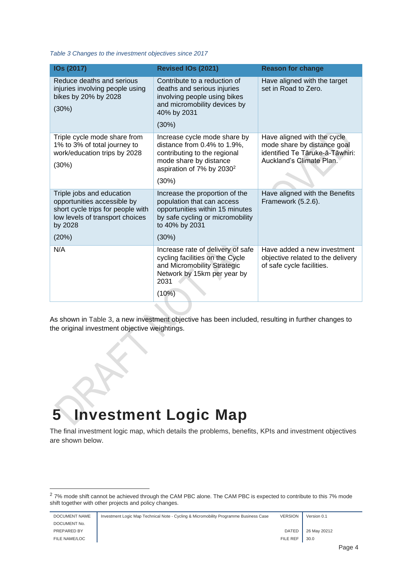<span id="page-5-1"></span>*Table 3 Changes to the investment objectives since 2017*

| IOs (2017)                                                                                                                                  | Revised IOs (2021)                                                                                                                                                      | <b>Reason for change</b>                                                                                                  |
|---------------------------------------------------------------------------------------------------------------------------------------------|-------------------------------------------------------------------------------------------------------------------------------------------------------------------------|---------------------------------------------------------------------------------------------------------------------------|
| Reduce deaths and serious<br>injuries involving people using<br>bikes by 20% by 2028<br>(30%)                                               | Contribute to a reduction of<br>deaths and serious injuries<br>involving people using bikes<br>and micromobility devices by<br>40% by 2031<br>(30%)                     | Have aligned with the target<br>set in Road to Zero.                                                                      |
| Triple cycle mode share from<br>1% to 3% of total journey to<br>work/education trips by 2028<br>(30%)                                       | Increase cycle mode share by<br>distance from 0.4% to 1.9%,<br>contributing to the regional<br>mode share by distance<br>aspiration of 7% by 2030 <sup>2</sup><br>(30%) | Have aligned with the cycle<br>mode share by distance goal<br>identified Te Tāruke-ā-Tāwhiri:<br>Auckland's Climate Plan. |
| Triple jobs and education<br>opportunities accessible by<br>short cycle trips for people with<br>low levels of transport choices<br>by 2028 | Increase the proportion of the<br>population that can access<br>opportunities within 15 minutes<br>by safe cycling or micromobility<br>to 40% by 2031                   | Have aligned with the Benefits<br>Framework (5.2.6).                                                                      |
| (20%)                                                                                                                                       | (30%)                                                                                                                                                                   |                                                                                                                           |
| N/A                                                                                                                                         | Increase rate of delivery of safe<br>cycling facilities on the Cycle<br>and Micromobility Strategic<br>Network by 15km per year by<br>2031<br>(10%)                     | Have added a new investment<br>objective related to the delivery<br>of safe cycle facilities.                             |

As shown in [Table 3,](#page-5-1) a new investment objective has been included, resulting in further changes to the original investment objective weightings.

## <span id="page-5-0"></span>**5 Investment Logic Map**

The final investment logic map, which details the problems, benefits, KPIs and investment objectives are shown below.

<sup>&</sup>lt;sup>2</sup> 7% mode shift cannot be achieved through the CAM PBC alone. The CAM PBC is expected to contribute to this 7% mode shift together with other projects and policy changes.